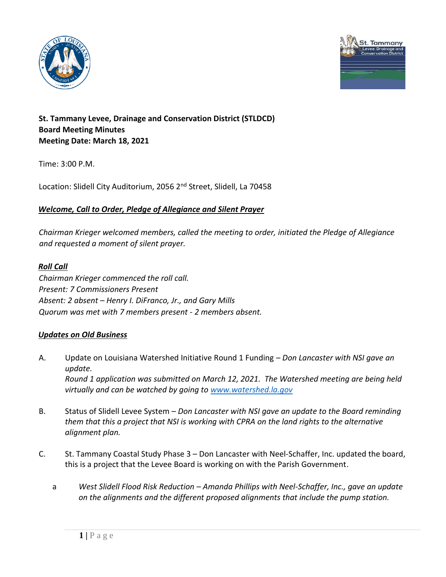



# **St. Tammany Levee, Drainage and Conservation District (STLDCD) Board Meeting Minutes Meeting Date: March 18, 2021**

Time: 3:00 P.M.

Location: Slidell City Auditorium, 2056 2<sup>nd</sup> Street, Slidell, La 70458

## *Welcome, Call to Order, Pledge of Allegiance and Silent Prayer*

*Chairman Krieger welcomed members, called the meeting to order, initiated the Pledge of Allegiance and requested a moment of silent prayer.* 

## *Roll Call*

*Chairman Krieger commenced the roll call. Present: 7 Commissioners Present Absent: 2 absent – Henry I. DiFranco, Jr., and Gary Mills Quorum was met with 7 members present - 2 members absent.* 

# *Updates on Old Business*

- A. Update on Louisiana Watershed Initiative Round 1 Funding *Don Lancaster with NSI gave an update. Round 1 application was submitted on March 12, 2021. The Watershed meeting are being held virtually and can be watched by going to [www.watershed.la.gov](http://www.watershed.la.gov/)*
- B. Status of Slidell Levee System *Don Lancaster with NSI gave an update to the Board reminding them that this a project that NSI is working with CPRA on the land rights to the alternative alignment plan.*
- C. St. Tammany Coastal Study Phase 3 Don Lancaster with Neel-Schaffer, Inc. updated the board, this is a project that the Levee Board is working on with the Parish Government.
	- a *West Slidell Flood Risk Reduction – Amanda Phillips with Neel-Schaffer, Inc., gave an update on the alignments and the different proposed alignments that include the pump station.*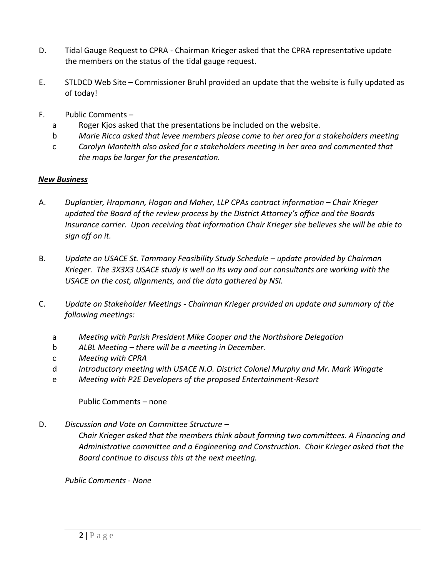- D. Tidal Gauge Request to CPRA Chairman Krieger asked that the CPRA representative update the members on the status of the tidal gauge request.
- E. STLDCD Web Site Commissioner Bruhl provided an update that the website is fully updated as of today!
- F. Public Comments
	- a Roger Kjos asked that the presentations be included on the website.
	- b *Marie RIcca asked that levee members please come to her area for a stakeholders meeting*
	- c *Carolyn Monteith also asked for a stakeholders meeting in her area and commented that the maps be larger for the presentation.*

### *New Business*

- A. *Duplantier, Hrapmann, Hogan and Maher, LLP CPAs contract information – Chair Krieger updated the Board of the review process by the District Attorney's office and the Boards Insurance carrier. Upon receiving that information Chair Krieger she believes she will be able to sign off on it.*
- B. *Update on USACE St. Tammany Feasibility Study Schedule update provided by Chairman Krieger. The 3X3X3 USACE study is well on its way and our consultants are working with the USACE on the cost, alignments, and the data gathered by NSI.*
- C. *Update on Stakeholder Meetings - Chairman Krieger provided an update and summary of the following meetings:*
	- a *Meeting with Parish President Mike Cooper and the Northshore Delegation*
	- b *ALBL Meeting – there will be a meeting in December.*
	- c *Meeting with CPRA*
	- d *Introductory meeting with USACE N.O. District Colonel Murphy and Mr. Mark Wingate*
	- e *Meeting with P2E Developers of the proposed Entertainment-Resort*

Public Comments – none

D. *Discussion and Vote on Committee Structure –*

*Chair Krieger asked that the members think about forming two committees. A Financing and Administrative committee and a Engineering and Construction. Chair Krieger asked that the Board continue to discuss this at the next meeting.*

*Public Comments - None*